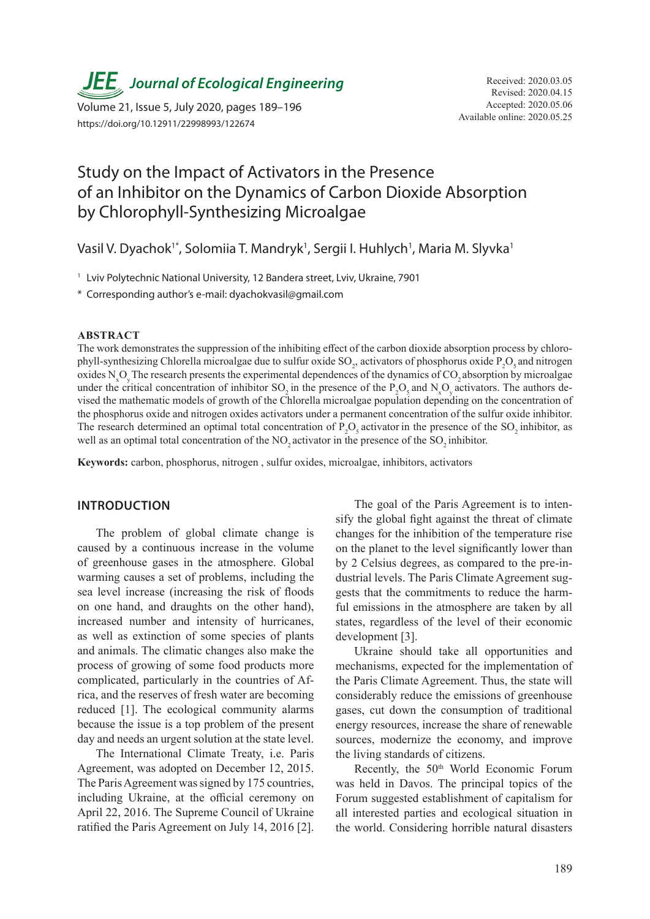**JEE**, Journal of Ecological Engineering Received: 2020.03.05

Available online: 2020.05.25 Volume 21, Issue 5, July 2020, pages 189–196 https://doi.org/10.12911/22998993/122674

# Study on the Impact of Activators in the Presence of an Inhibitor on the Dynamics of Carbon Dioxide Absorption by Chlorophyll-Synthesizing Microalgae

Vasil V. Dyachok<sup>1\*</sup>, Solomiia T. Mandryk<sup>1</sup>, Sergii I. Huhlych<sup>1</sup>, Maria M. Slyvka<sup>1</sup>

<sup>1</sup> Lviv Polytechnic National University, 12 Bandera street, Lviv, Ukraine, 7901

\* Corresponding author's e-mail: dyachokvasil@gmail.com

#### **ABSTRACT**

The work demonstrates the suppression of the inhibiting effect of the carbon dioxide absorption process by chlorophyll-synthesizing Chlorella microalgae due to sulfur oxide  $SO_2$ , activators of phosphorus oxide  $P_2O_5$  and nitrogen oxides  $N_xO_y$  The research presents the experimental dependences of the dynamics of  $CO_2$  absorption by microalgae under the critical concentration of inhibitor  $SO_2$  in the presence of the  $P_2O_5$  and  $N_xO_y$  activators. The authors devised the mathematic models of growth of the Chlorella microalgae population depending on the concentration of the phosphorus oxide and nitrogen oxides activators under a permanent concentration of the sulfur oxide inhibitor. The research determined an optimal total concentration of  $P_2O_5$  activator in the presence of the SO<sub>2</sub> inhibitor, as well as an optimal total concentration of the NO<sub>2</sub> activator in the presence of the SO<sub>2</sub> inhibitor.

**Keywords:** carbon, phosphorus, nitrogen , sulfur oxides, microalgae, inhibitors, activators

#### **INTRODUCTION**

The problem of global climate change is caused by a continuous increase in the volume of greenhouse gases in the atmosphere. Global warming causes a set of problems, including the sea level increase (increasing the risk of floods on one hand, and draughts on the other hand), increased number and intensity of hurricanes, as well as extinction of some species of plants and animals. The climatic changes also make the process of growing of some food products more complicated, particularly in the countries of Africa, and the reserves of fresh water are becoming reduced [1]. The ecological community alarms because the issue is a top problem of the present day and needs an urgent solution at the state level.

The International Climate Treaty, i.e. Paris Agreement, was adopted on December 12, 2015. The Paris Agreement was signed by 175 countries, including Ukraine, at the official ceremony on April 22, 2016. The Supreme Council of Ukraine ratified the Paris Agreement on July 14, 2016 [2].

The goal of the Paris Agreement is to intensify the global fight against the threat of climate changes for the inhibition of the temperature rise on the planet to the level significantly lower than by 2 Celsius degrees, as compared to the pre-industrial levels. The Paris Climate Agreement suggests that the commitments to reduce the harmful emissions in the atmosphere are taken by all states, regardless of the level of their economic development [3].

Ukraine should take all opportunities and mechanisms, expected for the implementation of the Paris Climate Agreement. Thus, the state will considerably reduce the emissions of greenhouse gases, cut down the consumption of traditional energy resources, increase the share of renewable sources, modernize the economy, and improve the living standards of citizens.

Recently, the 50<sup>th</sup> World Economic Forum was held in Davos. The principal topics of the Forum suggested establishment of capitalism for all interested parties and ecological situation in the world. Considering horrible natural disasters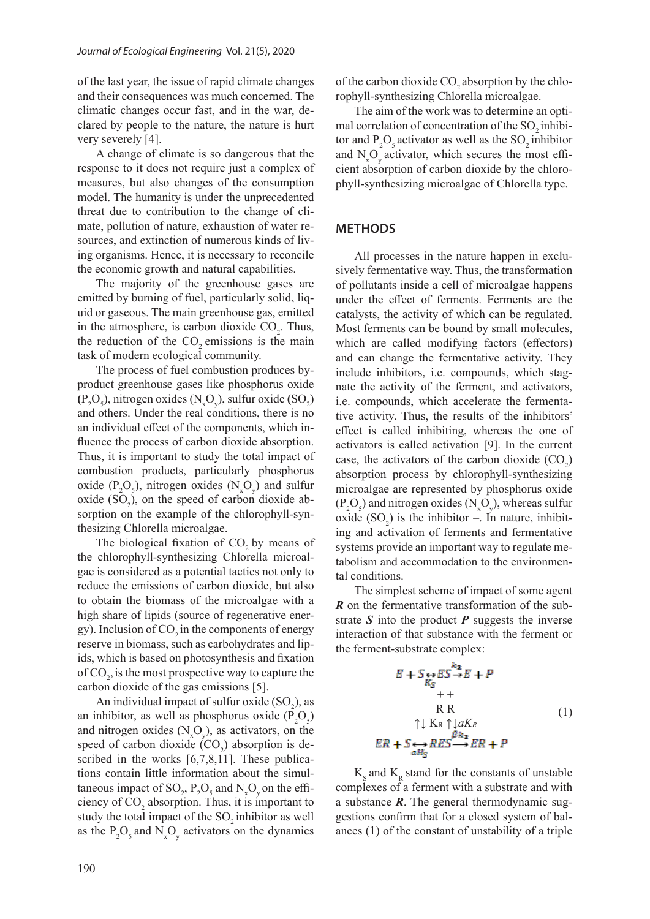of the last year, the issue of rapid climate changes and their consequences was much concerned. The climatic changes occur fast, and in the war, declared by people to the nature, the nature is hurt very severely [4].

A change of climate is so dangerous that the response to it does not require just a complex of measures, but also changes of the consumption model. The humanity is under the unprecedented threat due to contribution to the change of climate, pollution of nature, exhaustion of water resources, and extinction of numerous kinds of living organisms. Hence, it is necessary to reconcile the economic growth and natural capabilities.

The majority of the greenhouse gases are emitted by burning of fuel, particularly solid, liquid or gaseous. The main greenhouse gas, emitted in the atmosphere, is carbon dioxide  $CO<sub>2</sub>$ . Thus, the reduction of the  $CO<sub>2</sub>$  emissions is the main task of modern ecological community.

The process of fuel combustion produces byproduct greenhouse gases like phosphorus oxide  $(P_2O_5)$ , nitrogen oxides  $(N_xO_y)$ , sulfur oxide  $(SO_2)$ and others. Under the real conditions, there is no an individual effect of the components, which influence the process of carbon dioxide absorption. Thus, it is important to study the total impact of combustion products, particularly phosphorus oxide ( $P_2O_5$ ), nitrogen oxides ( $N_xO_y$ ) and sulfur oxide  $(SO_2)$ , on the speed of carbon dioxide absorption on the example of the chlorophyll-synthesizing Chlorella microalgae.

The biological fixation of  $CO<sub>2</sub>$  by means of the chlorophyll-synthesizing Chlorella microalgae is considered as a potential tactics not only to reduce the emissions of carbon dioxide, but also to obtain the biomass of the microalgae with a high share of lipids (source of regenerative energy). Inclusion of  $CO<sub>2</sub>$  in the components of energy reserve in biomass, such as carbohydrates and lipids, which is based on photosynthesis and fixation of  $CO<sub>2</sub>$ , is the most prospective way to capture the carbon dioxide of the gas emissions [5].

An individual impact of sulfur oxide  $(SO_2)$ , as an inhibitor, as well as phosphorus oxide  $(P_2O_5)$ and nitrogen oxides  $(N_xO_y)$ , as activators, on the speed of carbon dioxide  $(CO_2)$  absorption is described in the works [6,7,8,11]. These publications contain little information about the simultaneous impact of SO<sub>2</sub>,  $P_2O_5$  and N<sub>x</sub>O<sub>y</sub> on the efficiency of  $CO_2$  absorption. Thus, it is important to study the total impact of the  $SO_2$  inhibitor as well as the  $P_2O_5$  and  $N_xO_y$  activators on the dynamics of the carbon dioxide  $CO<sub>2</sub>$  absorption by the chlorophyll-synthesizing Chlorella microalgae.

The aim of the work was to determine an optimal correlation of concentration of the SO<sub>2</sub> inhibitor and  $P_2O_5$  activator as well as the  $SO_2$  inhibitor and  $N_xO_y$  activator, which secures the most efficient absorption of carbon dioxide by the chlorophyll-synthesizing microalgae of Chlorella type.

#### **METHODS**

All processes in the nature happen in exclusively fermentative way. Thus, the transformation of pollutants inside a cell of microalgae happens under the effect of ferments. Ferments are the catalysts, the activity of which can be regulated. Most ferments can be bound by small molecules, which are called modifying factors (effectors) and can change the fermentative activity. They include inhibitors, i.e. compounds, which stagnate the activity of the ferment, and activators, i.e. compounds, which accelerate the fermentative activity. Thus, the results of the inhibitors' effect is called inhibiting, whereas the one of activators is called activation [9]. In the current case, the activators of the carbon dioxide  $(CO_2)$ absorption process by chlorophyll-synthesizing microalgae are represented by phosphorus oxide  $(P_2O_5)$  and nitrogen oxides  $(N_xO_y)$ , whereas sulfur oxide  $(SO_2)$  is the inhibitor –. In nature, inhibiting and activation of ferments and fermentative systems provide an important way to regulate metabolism and accommodation to the environmental conditions.

The simplest scheme of impact of some agent *R* on the fermentative transformation of the substrate  $S$  into the product  $P$  suggests the inverse interaction of that substance with the ferment or the ferment-substrate complex:

$$
E + S \underset{K_S}{\leftrightarrow} ES \xrightarrow{R_S} E + P
$$
  
+ +  
R R  
R R  

$$
\uparrow \downarrow K_R \uparrow \downarrow aK_R
$$
  

$$
ER + S \underset{\alpha H_S}{\leftrightarrow} RES \xrightarrow{\beta R_S} ER + P
$$
  
(1)

 $K<sub>e</sub>$  and  $K<sub>p</sub>$  stand for the constants of unstable complexes of a ferment with a substrate and with a substance *R*. The general thermodynamic suggestions confirm that for a closed system of balances (1) of the constant of unstability of a triple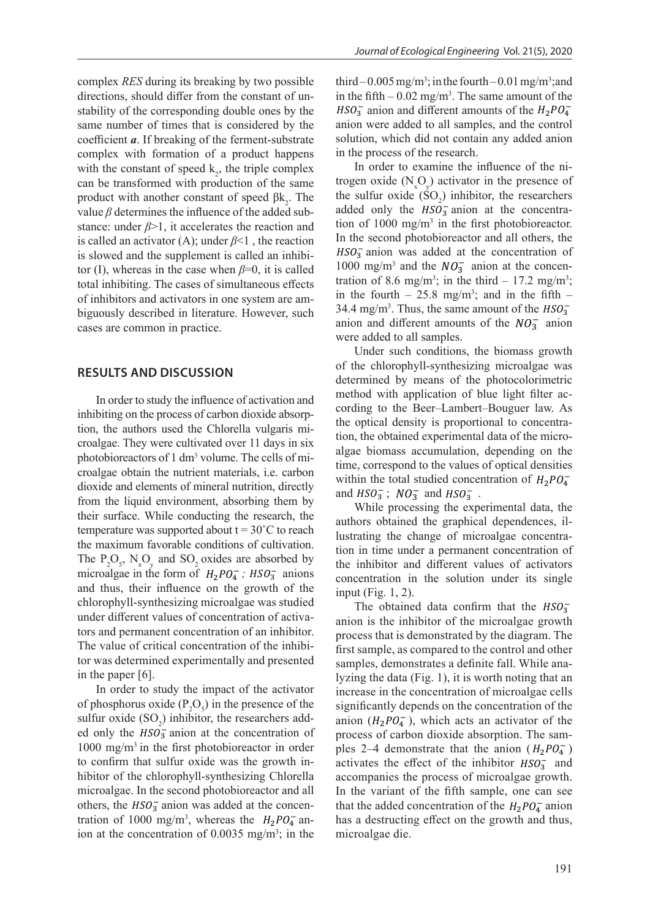complex *RES* during its breaking by two possible directions, should differ from the constant of unstability of the corresponding double ones by the same number of times that is considered by the coefficient *a*. If breaking of the ferment-substrate complex with formation of a product happens with the constant of speed  $k_2$ , the triple complex can be transformed with production of the same product with another constant of speed  $βk_2$ . The value  $\beta$  determines the influence of the added substance: under *β*>1, it accelerates the reaction and is called an activator (A); under *β*<1 , the reaction is slowed and the supplement is called an inhibitor (I), whereas in the case when  $\beta=0$ , it is called total inhibiting. The cases of simultaneous effects of inhibitors and activators in one system are ambiguously described in literature. However, such cases are common in practice.

#### **RESULTS AND DISCUSSION**

In order to study the influence of activation and inhibiting on the process of carbon dioxide absorption, the authors used the Chlorella vulgaris microalgae. They were cultivated over 11 days in six photobioreactors of 1 dm<sup>3</sup> volume. The cells of microalgae obtain the nutrient materials, i.e. carbon dioxide and elements of mineral nutrition, directly from the liquid environment, absorbing them by their surface. While conducting the research, the temperature was supported about  $t = 30^{\circ}$ C to reach the maximum favorable conditions of cultivation. The  $P_2O_5$ , N<sub>x</sub>O<sub>y</sub> and SO<sub>2</sub> oxides are absorbed by microalgae in the form of  $H_2PO_4^-$ ;  $HSO_3^-$  anions and thus, their influence on the growth of the chlorophyll-synthesizing microalgae was studied under different values of concentration of activators and permanent concentration of an inhibitor. The value of critical concentration of the inhibitor was determined experimentally and presented in the paper [6].

In order to study the impact of the activator of phosphorus oxide  $(P_2O_5)$  in the presence of the sulfur oxide  $(SO_2)$  inhibitor, the researchers added only the  $HSO_3^-$  anion at the concentration of 1000 mg/m3 in the first photobioreactor in order to confirm that sulfur oxide was the growth inhibitor of the chlorophyll-synthesizing Chlorella microalgae. In the second photobioreactor and all others, the  $HSO_3^-$  anion was added at the concentration of 1000 mg/m<sup>3</sup>, whereas the  $H_2PO_4^-$  anion at the concentration of  $0.0035$  mg/m<sup>3</sup>; in the third  $-0.005$  mg/m<sup>3</sup>; in the fourth  $-0.01$  mg/m<sup>3</sup>; and in the fifth  $-0.02$  mg/m<sup>3</sup>. The same amount of the  $HSO_3^-$  anion and different amounts of the  $H_2PO_4^$ anion were added to all samples, and the control solution, which did not contain any added anion in the process of the research.

In order to examine the influence of the nitrogen oxide  $(N_xO_y)$  activator in the presence of the sulfur oxide  $(SO_2)$  inhibitor, the researchers added only the  $HSO_3^-$  anion at the concentration of  $1000 \text{ mg/m}^3$  in the first photobioreactor. In the second photobioreactor and all others, the  $HSO_3^-$  anion was added at the concentration of 1000 mg/m<sup>3</sup> and the  $NO_3^-$  anion at the concentration of 8.6 mg/m<sup>3</sup>; in the third – 17.2 mg/m<sup>3</sup>; in the fourth  $-25.8$  mg/m<sup>3</sup>; and in the fifth  $-$ 34.4 mg/m<sup>3</sup>. Thus, the same amount of the  $HSO_3^$ anion and different amounts of the  $NO_3^-$  anion were added to all samples.

Under such conditions, the biomass growth of the chlorophyll-synthesizing microalgae was determined by means of the photocolorimetric method with application of blue light filter according to the Beer–Lambert–Bouguer law. As the optical density is proportional to concentration, the obtained experimental data of the microalgae biomass accumulation, depending on the time, correspond to the values of optical densities within the total studied concentration of  $H_2PO_4^$ and  $HSO_3^-$ ;  $NO_3^-$  and  $HSO_3^-$ .

While processing the experimental data, the authors obtained the graphical dependences, illustrating the change of microalgae concentration in time under a permanent concentration of the inhibitor and different values of activators concentration in the solution under its single input (Fig. 1, 2).

The obtained data confirm that the  $HSO_3^$ anion is the inhibitor of the microalgae growth process that is demonstrated by the diagram. The first sample, as compared to the control and other samples, demonstrates a definite fall. While analyzing the data (Fig. 1), it is worth noting that an increase in the concentration of microalgae cells significantly depends on the concentration of the anion  $(H_2PO_4^-)$ , which acts an activator of the process of carbon dioxide absorption. The samples 2–4 demonstrate that the anion  $(H_2PO_4^-)$ activates the effect of the inhibitor  $HSO_3^-$  and accompanies the process of microalgae growth. In the variant of the fifth sample, one can see that the added concentration of the  $H_2PO_4^-$  anion has a destructing effect on the growth and thus, microalgae die.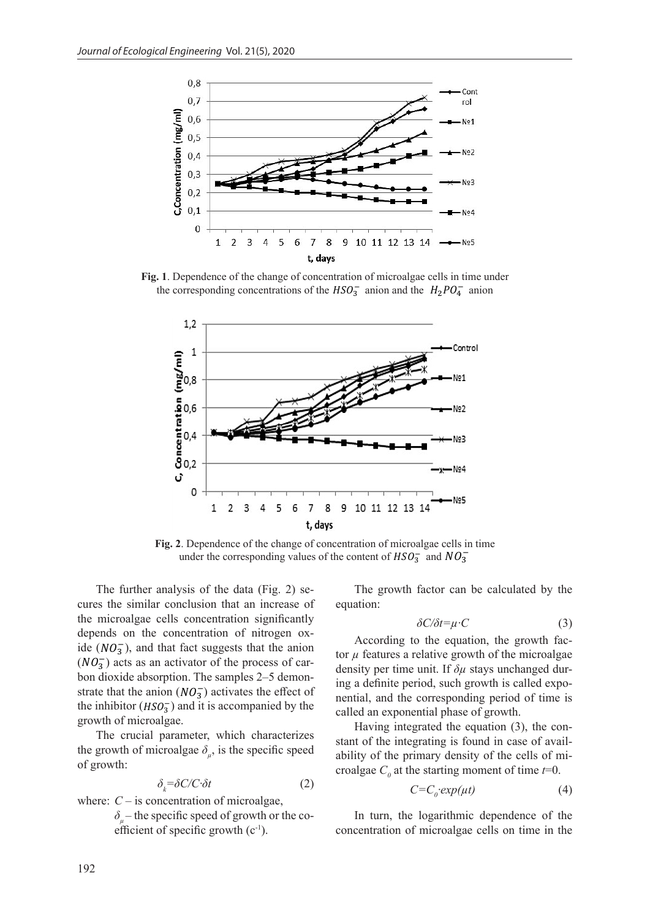

**Fig. 1**. Dependence of the change of concentration of microalgae cells in time under the corresponding concentrations of the  $HSO_3^-$  anion and the  $H_2PO_4^-$  anion



**Fig. 2**. Dependence of the change of concentration of microalgae cells in time under the corresponding values of the content of  $HSO_3^-$  and  $NO_3^-$ 

The further analysis of the data (Fig. 2) secures the similar conclusion that an increase of the microalgae cells concentration significantly depends on the concentration of nitrogen oxide  $(NO_3^-)$ , and that fact suggests that the anion  $(NO<sub>3</sub><sup>-</sup>)$  acts as an activator of the process of carbon dioxide absorption. The samples 2–5 demonstrate that the anion  $(NO_3^-)$  activates the effect of the inhibitor  $(HSO_3^-)$  and it is accompanied by the growth of microalgae.

The crucial parameter, which characterizes the growth of microalgae  $\delta_{\mu}$ , is the specific speed of growth:

$$
\delta_k = \delta C/C \cdot \delta t \tag{2}
$$

where:  $C -$  is concentration of microalgae, *δµ* – the specific speed of growth or the coefficient of specific growth  $(c^{-1})$ .

The growth factor can be calculated by the equation:

$$
\delta C/\delta t = \mu \cdot C \tag{3}
$$

According to the equation, the growth factor  $\mu$  features a relative growth of the microalgae density per time unit. If *δµ* stays unchanged during a definite period, such growth is called exponential, and the corresponding period of time is called an exponential phase of growth.

Having integrated the equation (3), the constant of the integrating is found in case of availability of the primary density of the cells of microalgae  $C<sub>0</sub>$  at the starting moment of time  $t=0$ .

$$
C = C_0 \exp(\mu t) \tag{4}
$$

In turn, the logarithmic dependence of the concentration of microalgae cells on time in the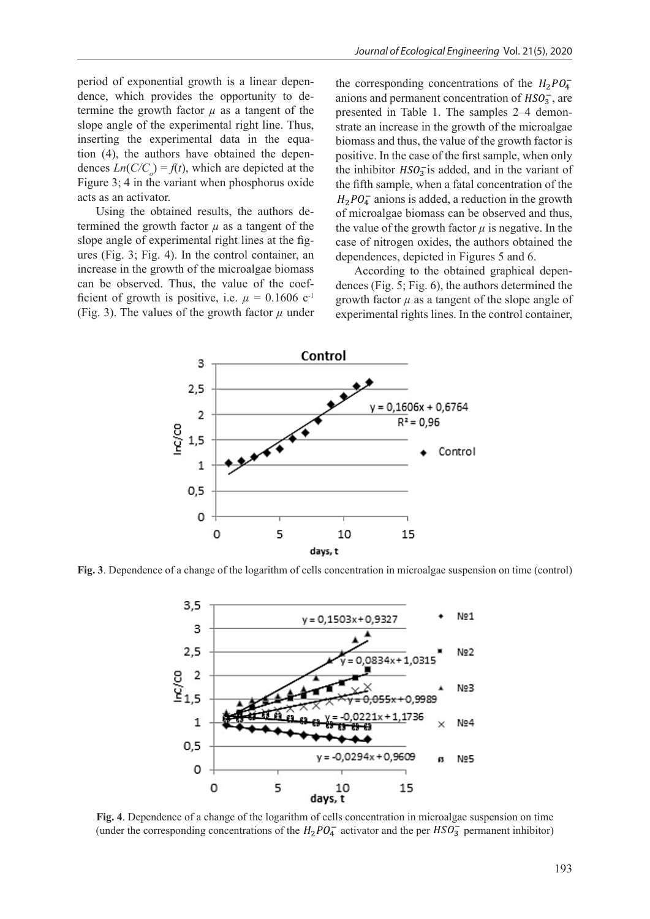period of exponential growth is a linear dependence, which provides the opportunity to determine the growth factor  $\mu$  as a tangent of the slope angle of the experimental right line. Thus, inserting the experimental data in the equation (4), the authors have obtained the dependences  $Ln(C/C<sub>o</sub>) = f(t)$ , which are depicted at the Figure 3; 4 in the variant when phosphorus oxide acts as an activator.

Using the obtained results, the authors determined the growth factor  $\mu$  as a tangent of the slope angle of experimental right lines at the figures (Fig. 3; Fig. 4). In the control container, an increase in the growth of the microalgae biomass can be observed. Thus, the value of the coefficient of growth is positive, i.e.  $\mu = 0.1606$  c<sup>-1</sup> (Fig. 3). The values of the growth factor  $\mu$  under the corresponding concentrations of the  $H_2PO_4^$ anions and permanent concentration of  $HSO_3^-$ , are presented in Table 1. The samples 2–4 demonstrate an increase in the growth of the microalgae biomass and thus, the value of the growth factor is positive. In the case of the first sample, when only the inhibitor  $HSO_3^-$  is added, and in the variant of the fifth sample, when a fatal concentration of the  $H_2PO_4^-$  anions is added, a reduction in the growth of microalgae biomass can be observed and thus, the value of the growth factor  $\mu$  is negative. In the case of nitrogen oxides, the authors obtained the dependences, depicted in Figures 5 and 6.

According to the obtained graphical dependences (Fig. 5; Fig. 6), the authors determined the growth factor  $\mu$  as a tangent of the slope angle of experimental rights lines. In the control container,



**Fig. 3**. Dependence of a change of the logarithm of cells concentration in microalgae suspension on time (control)



**Fig. 4**. Dependence of a change of the logarithm of cells concentration in microalgae suspension on time (under the corresponding concentrations of the  $H_2PO_4^-$  activator and the per  $HSO_3^-$  permanent inhibitor)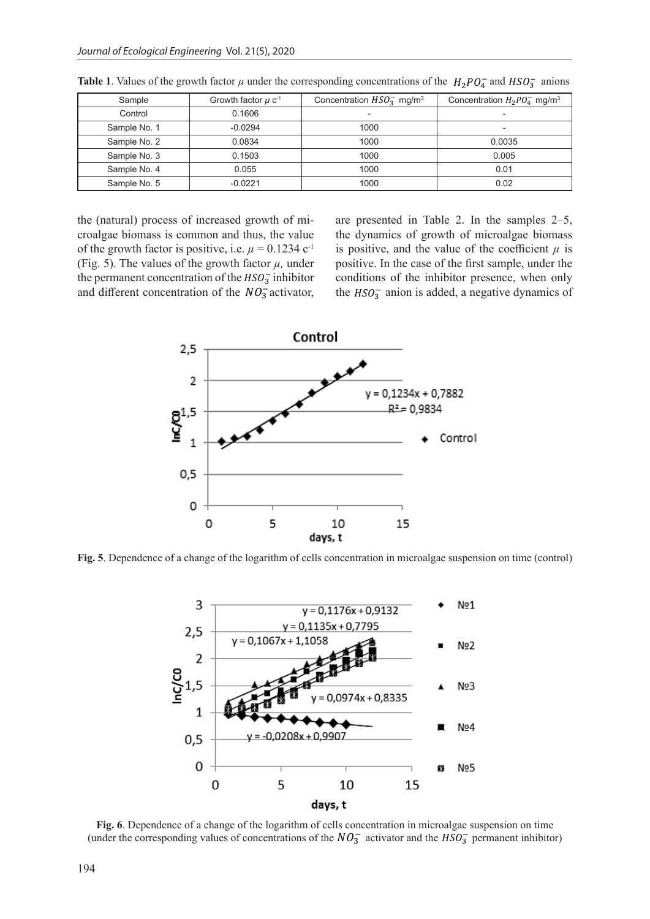| Sample       | Growth factor $\mu$ c <sup>-1</sup> | Concentration $HSO_3^-$ mg/m <sup>3</sup> | Concentration $H_2PO_{4}^-$ mg/m <sup>3</sup> |
|--------------|-------------------------------------|-------------------------------------------|-----------------------------------------------|
| Control      | 0.1606                              |                                           | $\overline{\phantom{0}}$                      |
| Sample No. 1 | $-0.0294$                           | 1000                                      | $\overline{\phantom{0}}$                      |
| Sample No. 2 | 0.0834                              | 1000                                      | 0.0035                                        |
| Sample No. 3 | 0.1503                              | 1000                                      | 0.005                                         |
| Sample No. 4 | 0.055                               | 1000                                      | 0.01                                          |
| Sample No. 5 | $-0.0221$                           | 1000                                      | 0.02                                          |

**Table 1.** Values of the growth factor  $\mu$  under the corresponding concentrations of the  $H_2PO_4^-$  and  $HSO_3^-$  anions

the (natural) process of increased growth of microalgae biomass is common and thus, the value of the growth factor is positive, i.e.  $\mu = 0.1234$  c<sup>-1</sup> (Fig. 5). The values of the growth factor  $\mu$ , under the permanent concentration of the  $HSO_3^-$  inhibitor and different concentration of the  $NO_3^-$  activator, are presented in Table 2. In the samples 2–5, the dynamics of growth of microalgae biomass is positive, and the value of the coefficient  $\mu$  is positive. In the case of the first sample, under the conditions of the inhibitor presence, when only the  $HSO_3^-$  anion is added, a negative dynamics of



**Fig. 5**. Dependence of a change of the logarithm of cells concentration in microalgae suspension on time (control)



**Fig. 6**. Dependence of a change of the logarithm of cells concentration in microalgae suspension on time (under the corresponding values of concentrations of the  $NO_3^-$  activator and the  $HSO_3^-$  permanent inhibitor)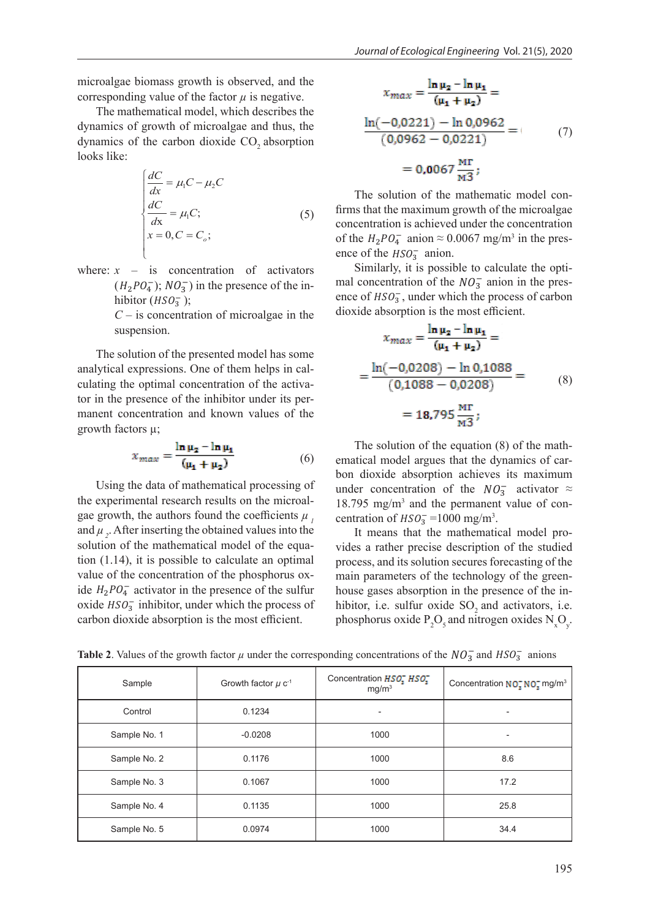microalgae biomass growth is observed, and the corresponding value of the factor  $\mu$  is negative.

The mathematical model, which describes the dynamics of growth of microalgae and thus, the dynamics of the carbon dioxide  $CO<sub>2</sub>$  absorption looks like:

$$
\begin{cases}\n\frac{dC}{dx} = \mu_1 C - \mu_2 C \\
\frac{dC}{dx} = \mu_1 C; \\
x = 0, C = C_o;\n\end{cases}
$$
\n(5)

where:  $x -$  is concentration of activators  $(H_2PO_4^-); NO_3^-$  in the presence of the inhibitor  $(HSO_3^-);$ 

*C* – is concentration of microalgae in the suspension.

The solution of the presented model has some analytical expressions. One of them helps in calculating the optimal concentration of the activator in the presence of the inhibitor under its permanent concentration and known values of the growth factors µ;

$$
x_{max} = \frac{\ln \mu_2 - \ln \mu_1}{(\mu_1 + \mu_2)}\tag{6}
$$

Using the data of mathematical processing of the experimental research results on the microalgae growth, the authors found the coefficients  $\mu$ , and  $\mu$ , After inserting the obtained values into the solution of the mathematical model of the equation (1.14), it is possible to calculate an optimal value of the concentration of the phosphorus oxide  $H_2PO_4^-$  activator in the presence of the sulfur oxide  $HSO_3^-$  inhibitor, under which the process of carbon dioxide absorption is the most efficient.

$$
x_{max} = \frac{\ln \mu_2 - \ln \mu_1}{(\mu_1 + \mu_2)} =
$$
  

$$
\frac{\ln(-0.0221) - \ln 0.0962}{(0.0962 - 0.0221)} =
$$
  
= 0.0067  $\frac{\text{MT}}{\text{M3}}$ ; (7)

The solution of the mathematic model confirms that the maximum growth of the microalgae concentration is achieved under the concentration of the  $H_2 P O_4^-$  anion  $\approx 0.0067$  mg/m<sup>3</sup> in the presence of the  $HSO_3^-$  anion.

Similarly, it is possible to calculate the optimal concentration of the  $NO_3^-$  anion in the presence of  $HSO_3^-$ , under which the process of carbon dioxide absorption is the most efficient.

$$
x_{max} = \frac{\ln \mu_2 - \ln \mu_1}{(\mu_1 + \mu_2)} =
$$
  
= 
$$
\frac{\ln(-0.0208) - \ln 0.1088}{(0.1088 - 0.0208)} =
$$
  
= 18.795  $\frac{\text{MT}}{\text{M}^3}$ ; (8)

The solution of the equation (8) of the mathematical model argues that the dynamics of carbon dioxide absorption achieves its maximum under concentration of the  $NO_3^-$  activator ≈ 18.795 mg/m3 and the permanent value of concentration of  $HSO_3^-$ =1000 mg/m<sup>3</sup>.

It means that the mathematical model provides a rather precise description of the studied process, and its solution secures forecasting of the main parameters of the technology of the greenhouse gases absorption in the presence of the inhibitor, i.e. sulfur oxide  $SO<sub>2</sub>$  and activators, i.e. phosphorus oxide  $P_2O_5$  and nitrogen oxides  $N_xO_y$ .

| Sample       | Growth factor $\mu$ c <sup>-1</sup> | Concentration HSO, HSO,<br>mg/m <sup>3</sup> | Concentration NO <sub>T</sub> NO <sub>T</sub> mg/m <sup>3</sup> |
|--------------|-------------------------------------|----------------------------------------------|-----------------------------------------------------------------|
| Control      | 0.1234                              | $\overline{\phantom{0}}$                     |                                                                 |
| Sample No. 1 | $-0.0208$                           | 1000                                         | $\overline{\phantom{0}}$                                        |
| Sample No. 2 | 0.1176                              | 1000                                         | 8.6                                                             |
|              |                                     |                                              |                                                                 |
| Sample No. 3 | 0.1067                              | 1000                                         | 17.2                                                            |
| Sample No. 4 | 0.1135                              | 1000                                         | 25.8                                                            |
| Sample No. 5 | 0.0974                              | 1000                                         | 34.4                                                            |

**Table 2.** Values of the growth factor  $\mu$  under the corresponding concentrations of the  $NO_3^-$  and  $HSO_3^-$  anions